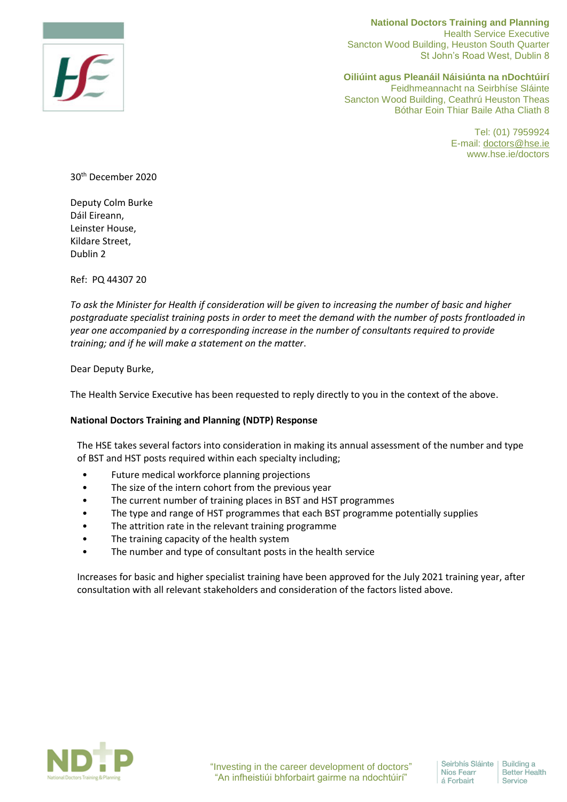

**National Doctors Training and Planning**  Health Service Executive Sancton Wood Building, Heuston South Quarter St John's Road West, Dublin 8

**Oiliúint agus Pleanáil Náisiúnta na nDochtúirí** Feidhmeannacht na Seirbhíse Sláinte Sancton Wood Building, Ceathrú Heuston Theas Bóthar Eoin Thiar Baile Atha Cliath 8

> Tel: (01) 7959924 E-mail: [doctors@hse.ie](mailto:doctors@hse.ie) www.hse.ie/doctors

30th December 2020

Deputy Colm Burke Dáil Eireann, Leinster House, Kildare Street, Dublin 2

Ref: PQ 44307 20

*To ask the Minister for Health if consideration will be given to increasing the number of basic and higher postgraduate specialist training posts in order to meet the demand with the number of posts frontloaded in year one accompanied by a corresponding increase in the number of consultants required to provide training; and if he will make a statement on the matter*.

Dear Deputy Burke,

The Health Service Executive has been requested to reply directly to you in the context of the above.

## **National Doctors Training and Planning (NDTP) Response**

The HSE takes several factors into consideration in making its annual assessment of the number and type of BST and HST posts required within each specialty including;

- Future medical workforce planning projections
- The size of the intern cohort from the previous year
- The current number of training places in BST and HST programmes
- The type and range of HST programmes that each BST programme potentially supplies
- The attrition rate in the relevant training programme
- The training capacity of the health system
- The number and type of consultant posts in the health service

Increases for basic and higher specialist training have been approved for the July 2021 training year, after consultation with all relevant stakeholders and consideration of the factors listed above.